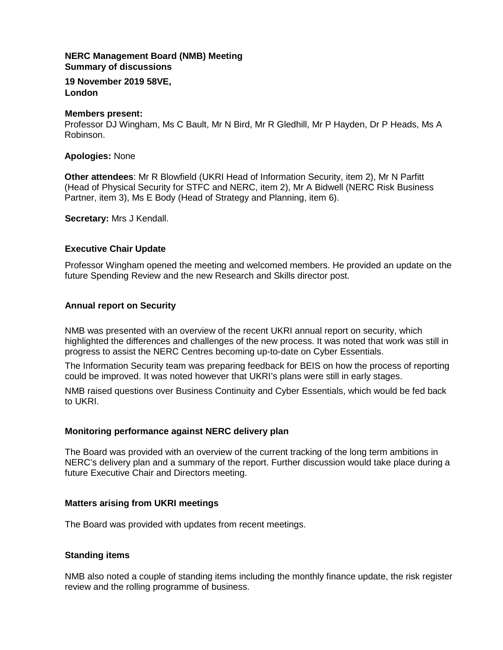# **NERC Management Board (NMB) Meeting Summary of discussions**

**19 November 2019 58VE, London**

## **Members present:**

Professor DJ Wingham, Ms C Bault, Mr N Bird, Mr R Gledhill, Mr P Hayden, Dr P Heads, Ms A Robinson.

# **Apologies:** None

**Other attendees**: Mr R Blowfield (UKRI Head of Information Security, item 2), Mr N Parfitt (Head of Physical Security for STFC and NERC, item 2), Mr A Bidwell (NERC Risk Business Partner, item 3), Ms E Body (Head of Strategy and Planning, item 6).

**Secretary:** Mrs J Kendall.

# **Executive Chair Update**

Professor Wingham opened the meeting and welcomed members. He provided an update on the future Spending Review and the new Research and Skills director post.

# **Annual report on Security**

NMB was presented with an overview of the recent UKRI annual report on security, which highlighted the differences and challenges of the new process. It was noted that work was still in progress to assist the NERC Centres becoming up-to-date on Cyber Essentials.

The Information Security team was preparing feedback for BEIS on how the process of reporting could be improved. It was noted however that UKRI's plans were still in early stages.

NMB raised questions over Business Continuity and Cyber Essentials, which would be fed back to UKRI.

## **Monitoring performance against NERC delivery plan**

The Board was provided with an overview of the current tracking of the long term ambitions in NERC's delivery plan and a summary of the report. Further discussion would take place during a future Executive Chair and Directors meeting.

## **Matters arising from UKRI meetings**

The Board was provided with updates from recent meetings.

## **Standing items**

NMB also noted a couple of standing items including the monthly finance update, the risk register review and the rolling programme of business.